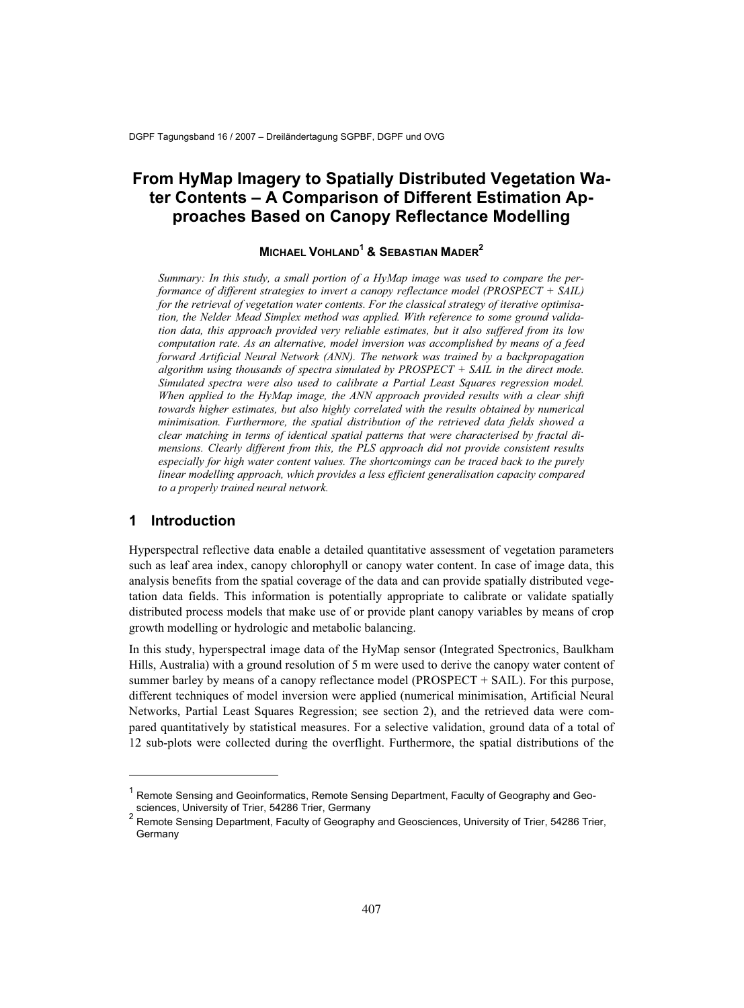# **From HyMap Imagery to Spatially Distributed Vegetation Water Contents – A Comparison of Different Estimation Approaches Based on Canopy Reflectance Modelling**

## **MICHAEL VOHLAND1 & SEBASTIAN MADER2**

*Summary: In this study, a small portion of a HyMap image was used to compare the performance of different strategies to invert a canopy reflectance model (PROSPECT + SAIL) for the retrieval of vegetation water contents. For the classical strategy of iterative optimisation, the Nelder Mead Simplex method was applied. With reference to some ground validation data, this approach provided very reliable estimates, but it also suffered from its low computation rate. As an alternative, model inversion was accomplished by means of a feed forward Artificial Neural Network (ANN). The network was trained by a backpropagation algorithm using thousands of spectra simulated by PROSPECT + SAIL in the direct mode. Simulated spectra were also used to calibrate a Partial Least Squares regression model. When applied to the HyMap image, the ANN approach provided results with a clear shift*  towards higher estimates, but also highly correlated with the results obtained by numerical *minimisation. Furthermore, the spatial distribution of the retrieved data fields showed a clear matching in terms of identical spatial patterns that were characterised by fractal dimensions. Clearly different from this, the PLS approach did not provide consistent results*  especially for high water content values. The shortcomings can be traced back to the purely *linear modelling approach, which provides a less efficient generalisation capacity compared to a properly trained neural network.*

#### **1 Introduction**

1

Hyperspectral reflective data enable a detailed quantitative assessment of vegetation parameters such as leaf area index, canopy chlorophyll or canopy water content. In case of image data, this analysis benefits from the spatial coverage of the data and can provide spatially distributed vegetation data fields. This information is potentially appropriate to calibrate or validate spatially distributed process models that make use of or provide plant canopy variables by means of crop growth modelling or hydrologic and metabolic balancing.

In this study, hyperspectral image data of the HyMap sensor (Integrated Spectronics, Baulkham Hills, Australia) with a ground resolution of 5 m were used to derive the canopy water content of summer barley by means of a canopy reflectance model (PROSPECT + SAIL). For this purpose, different techniques of model inversion were applied (numerical minimisation, Artificial Neural Networks, Partial Least Squares Regression; see section 2), and the retrieved data were compared quantitatively by statistical measures. For a selective validation, ground data of a total of 12 sub-plots were collected during the overflight. Furthermore, the spatial distributions of the

<sup>&</sup>lt;sup>1</sup> Remote Sensing and Geoinformatics, Remote Sensing Department, Faculty of Geography and Geosciences, University of Trier, 54286 Trier, Germany

 $^{\text{2}}$  Remote Sensing Department, Faculty of Geography and Geosciences, University of Trier, 54286 Trier, Germany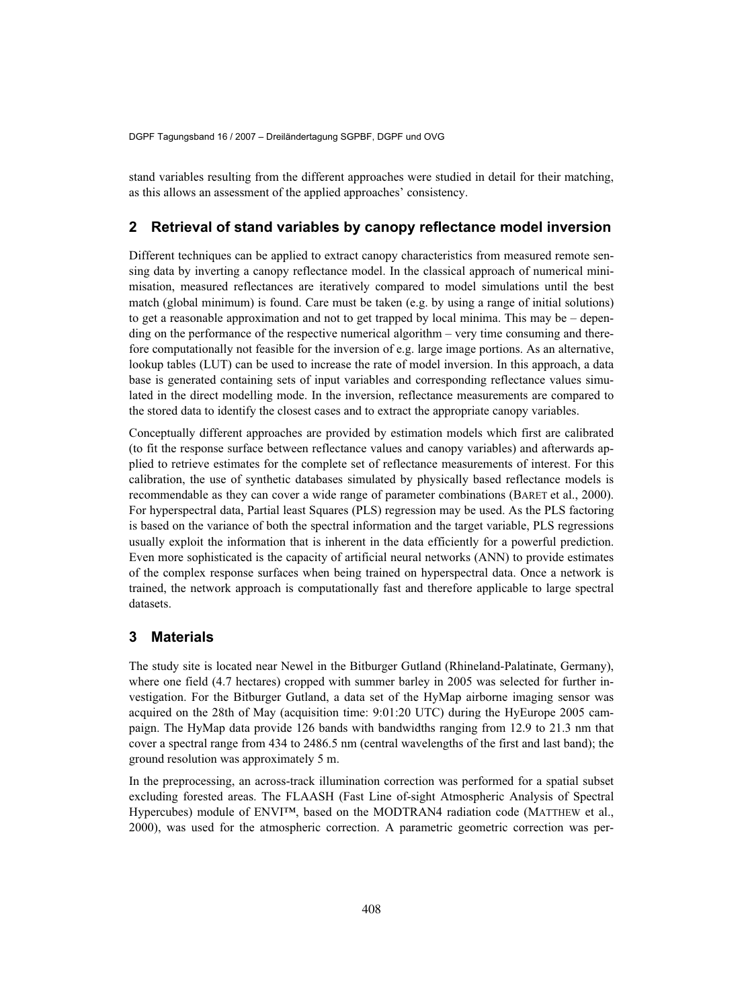stand variables resulting from the different approaches were studied in detail for their matching, as this allows an assessment of the applied approaches' consistency.

#### **2 Retrieval of stand variables by canopy reflectance model inversion**

Different techniques can be applied to extract canopy characteristics from measured remote sensing data by inverting a canopy reflectance model. In the classical approach of numerical minimisation, measured reflectances are iteratively compared to model simulations until the best match (global minimum) is found. Care must be taken (e.g. by using a range of initial solutions) to get a reasonable approximation and not to get trapped by local minima. This may be – depending on the performance of the respective numerical algorithm – very time consuming and therefore computationally not feasible for the inversion of e.g. large image portions. As an alternative, lookup tables (LUT) can be used to increase the rate of model inversion. In this approach, a data base is generated containing sets of input variables and corresponding reflectance values simulated in the direct modelling mode. In the inversion, reflectance measurements are compared to the stored data to identify the closest cases and to extract the appropriate canopy variables.

Conceptually different approaches are provided by estimation models which first are calibrated (to fit the response surface between reflectance values and canopy variables) and afterwards applied to retrieve estimates for the complete set of reflectance measurements of interest. For this calibration, the use of synthetic databases simulated by physically based reflectance models is recommendable as they can cover a wide range of parameter combinations (BARET et al., 2000). For hyperspectral data, Partial least Squares (PLS) regression may be used. As the PLS factoring is based on the variance of both the spectral information and the target variable, PLS regressions usually exploit the information that is inherent in the data efficiently for a powerful prediction. Even more sophisticated is the capacity of artificial neural networks (ANN) to provide estimates of the complex response surfaces when being trained on hyperspectral data. Once a network is trained, the network approach is computationally fast and therefore applicable to large spectral datasets.

## **3 Materials**

The study site is located near Newel in the Bitburger Gutland (Rhineland-Palatinate, Germany), where one field (4.7 hectares) cropped with summer barley in 2005 was selected for further investigation. For the Bitburger Gutland, a data set of the HyMap airborne imaging sensor was acquired on the 28th of May (acquisition time: 9:01:20 UTC) during the HyEurope 2005 campaign. The HyMap data provide 126 bands with bandwidths ranging from 12.9 to 21.3 nm that cover a spectral range from 434 to 2486.5 nm (central wavelengths of the first and last band); the ground resolution was approximately 5 m.

In the preprocessing, an across-track illumination correction was performed for a spatial subset excluding forested areas. The FLAASH (Fast Line of-sight Atmospheric Analysis of Spectral Hypercubes) module of ENVI™, based on the MODTRAN4 radiation code (MATTHEW et al., 2000), was used for the atmospheric correction. A parametric geometric correction was per-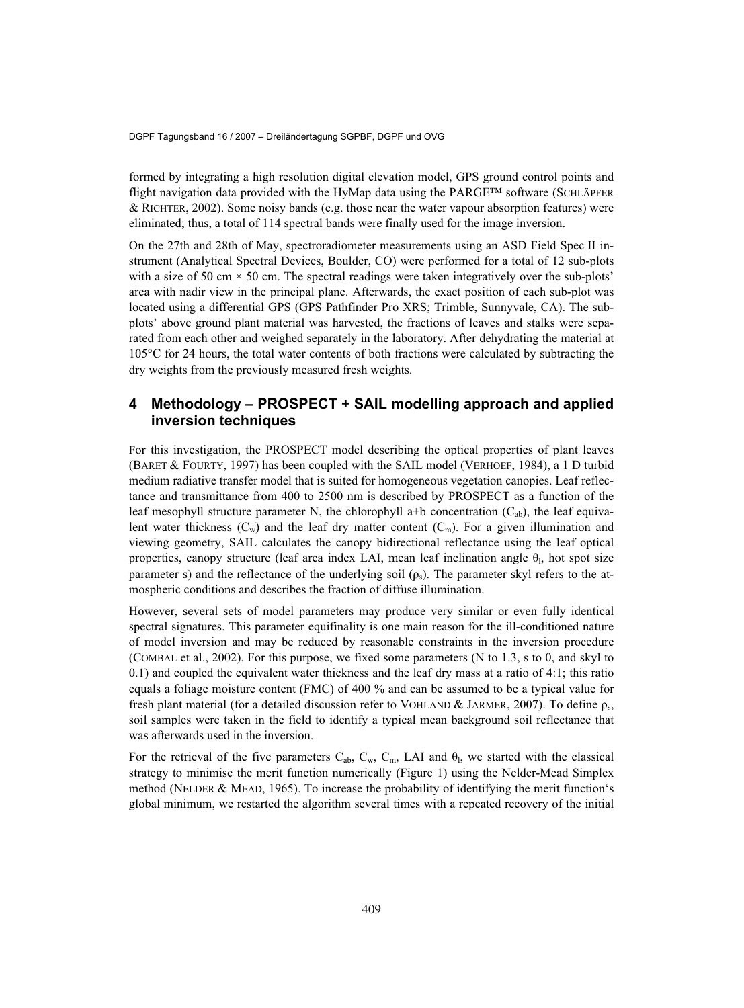formed by integrating a high resolution digital elevation model, GPS ground control points and flight navigation data provided with the HyMap data using the PARGE™ software (SCHLÄPFER  $&$  RICHTER, 2002). Some noisy bands (e.g. those near the water vapour absorption features) were eliminated; thus, a total of 114 spectral bands were finally used for the image inversion.

On the 27th and 28th of May, spectroradiometer measurements using an ASD Field Spec II instrument (Analytical Spectral Devices, Boulder, CO) were performed for a total of 12 sub-plots with a size of 50 cm  $\times$  50 cm. The spectral readings were taken integratively over the sub-plots' area with nadir view in the principal plane. Afterwards, the exact position of each sub-plot was located using a differential GPS (GPS Pathfinder Pro XRS; Trimble, Sunnyvale, CA). The subplots' above ground plant material was harvested, the fractions of leaves and stalks were separated from each other and weighed separately in the laboratory. After dehydrating the material at 105°C for 24 hours, the total water contents of both fractions were calculated by subtracting the dry weights from the previously measured fresh weights.

## **4 Methodology – PROSPECT + SAIL modelling approach and applied inversion techniques**

For this investigation, the PROSPECT model describing the optical properties of plant leaves (BARET & FOURTY, 1997) has been coupled with the SAIL model (VERHOEF, 1984), a 1 D turbid medium radiative transfer model that is suited for homogeneous vegetation canopies. Leaf reflectance and transmittance from 400 to 2500 nm is described by PROSPECT as a function of the leaf mesophyll structure parameter N, the chlorophyll a+b concentration  $(C_{ab})$ , the leaf equivalent water thickness  $(C_w)$  and the leaf dry matter content  $(C_m)$ . For a given illumination and viewing geometry, SAIL calculates the canopy bidirectional reflectance using the leaf optical properties, canopy structure (leaf area index LAI, mean leaf inclination angle  $\theta$ <sub>l</sub>, hot spot size parameter s) and the reflectance of the underlying soil  $(\rho_s)$ . The parameter skyl refers to the atmospheric conditions and describes the fraction of diffuse illumination.

However, several sets of model parameters may produce very similar or even fully identical spectral signatures. This parameter equifinality is one main reason for the ill-conditioned nature of model inversion and may be reduced by reasonable constraints in the inversion procedure (COMBAL et al., 2002). For this purpose, we fixed some parameters (N to 1.3, s to 0, and skyl to 0.1) and coupled the equivalent water thickness and the leaf dry mass at a ratio of 4:1; this ratio equals a foliage moisture content (FMC) of 400 % and can be assumed to be a typical value for fresh plant material (for a detailed discussion refer to VOHLAND & JARMER, 2007). To define  $\rho_{s}$ , soil samples were taken in the field to identify a typical mean background soil reflectance that was afterwards used in the inversion.

For the retrieval of the five parameters  $C_{ab}$ ,  $C_w$ ,  $C_m$ , LAI and  $\theta_1$ , we started with the classical strategy to minimise the merit function numerically (Figure 1) using the Nelder-Mead Simplex method (NELDER & MEAD, 1965). To increase the probability of identifying the merit function's global minimum, we restarted the algorithm several times with a repeated recovery of the initial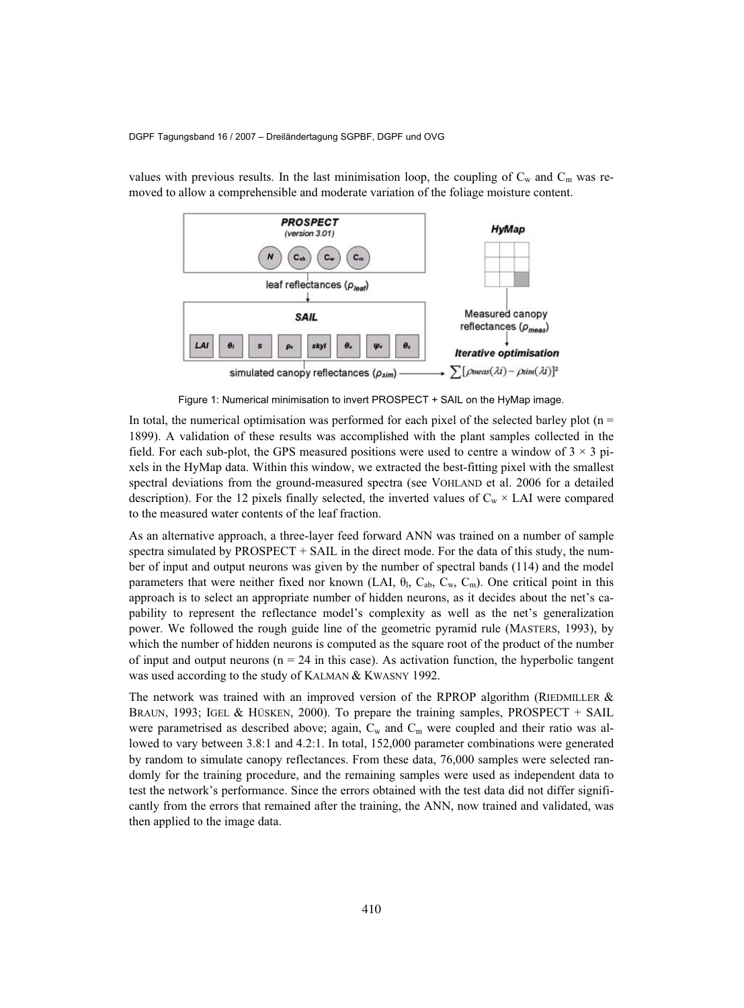

values with previous results. In the last minimisation loop, the coupling of  $C_w$  and  $C_m$  was removed to allow a comprehensible and moderate variation of the foliage moisture content.

Figure 1: Numerical minimisation to invert PROSPECT + SAIL on the HyMap image.

In total, the numerical optimisation was performed for each pixel of the selected barley plot  $(n =$ 1899). A validation of these results was accomplished with the plant samples collected in the field. For each sub-plot, the GPS measured positions were used to centre a window of  $3 \times 3$  pixels in the HyMap data. Within this window, we extracted the best-fitting pixel with the smallest spectral deviations from the ground-measured spectra (see VOHLAND et al. 2006 for a detailed description). For the 12 pixels finally selected, the inverted values of  $C_w \times LAI$  were compared to the measured water contents of the leaf fraction.

As an alternative approach, a three-layer feed forward ANN was trained on a number of sample spectra simulated by PROSPECT  $+$  SAIL in the direct mode. For the data of this study, the number of input and output neurons was given by the number of spectral bands (114) and the model parameters that were neither fixed nor known (LAI,  $\theta_1$ ,  $C_{ab}$ ,  $C_w$ ,  $C_w$ ). One critical point in this approach is to select an appropriate number of hidden neurons, as it decides about the net's capability to represent the reflectance model's complexity as well as the net's generalization power. We followed the rough guide line of the geometric pyramid rule (MASTERS, 1993), by which the number of hidden neurons is computed as the square root of the product of the number of input and output neurons ( $n = 24$  in this case). As activation function, the hyperbolic tangent was used according to the study of KALMAN & KWASNY 1992.

The network was trained with an improved version of the RPROP algorithm (RIEDMILLER  $&$ BRAUN, 1993; IGEL & HÜSKEN, 2000). To prepare the training samples, PROSPECT + SAIL were parametrised as described above; again,  $C_w$  and  $C_m$  were coupled and their ratio was allowed to vary between 3.8:1 and 4.2:1. In total, 152,000 parameter combinations were generated by random to simulate canopy reflectances. From these data, 76,000 samples were selected randomly for the training procedure, and the remaining samples were used as independent data to test the network's performance. Since the errors obtained with the test data did not differ significantly from the errors that remained after the training, the ANN, now trained and validated, was then applied to the image data.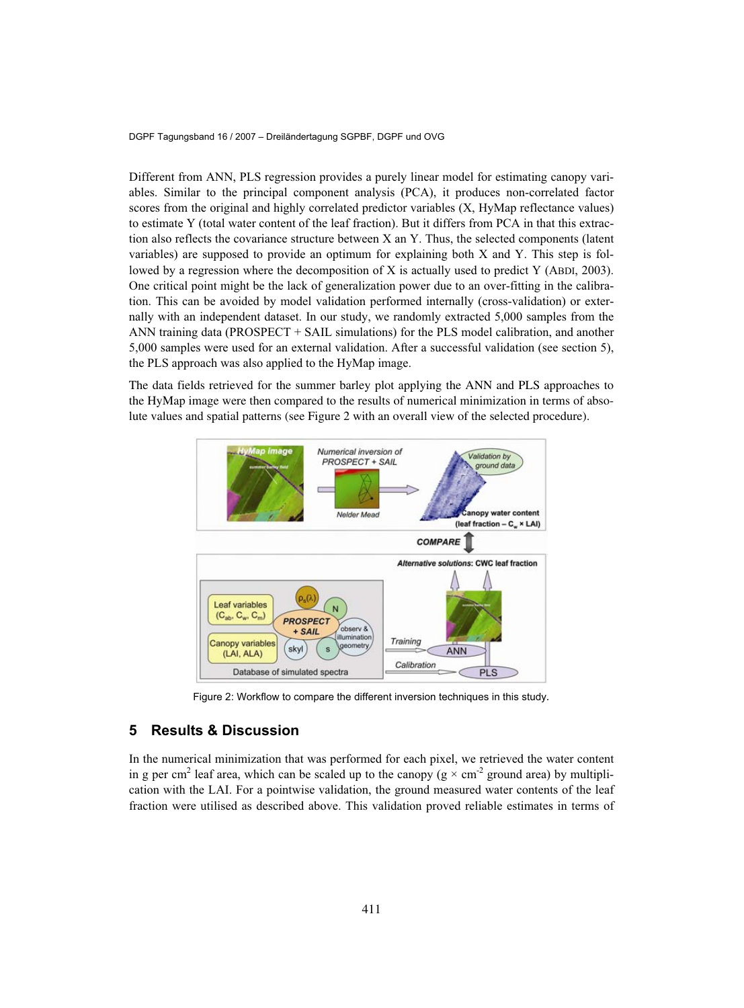Different from ANN, PLS regression provides a purely linear model for estimating canopy variables. Similar to the principal component analysis (PCA), it produces non-correlated factor scores from the original and highly correlated predictor variables (X, HyMap reflectance values) to estimate Y (total water content of the leaf fraction). But it differs from PCA in that this extraction also reflects the covariance structure between X an Y. Thus, the selected components (latent variables) are supposed to provide an optimum for explaining both X and Y. This step is followed by a regression where the decomposition of X is actually used to predict Y (ABDI, 2003). One critical point might be the lack of generalization power due to an over-fitting in the calibration. This can be avoided by model validation performed internally (cross-validation) or externally with an independent dataset. In our study, we randomly extracted 5,000 samples from the ANN training data (PROSPECT + SAIL simulations) for the PLS model calibration, and another 5,000 samples were used for an external validation. After a successful validation (see section 5), the PLS approach was also applied to the HyMap image.

The data fields retrieved for the summer barley plot applying the ANN and PLS approaches to the HyMap image were then compared to the results of numerical minimization in terms of absolute values and spatial patterns (see Figure 2 with an overall view of the selected procedure).



Figure 2: Workflow to compare the different inversion techniques in this study*.*

## **5 Results & Discussion**

In the numerical minimization that was performed for each pixel, we retrieved the water content in g per cm<sup>2</sup> leaf area, which can be scaled up to the canopy ( $g \times cm^{-2}$  ground area) by multiplication with the LAI. For a pointwise validation, the ground measured water contents of the leaf fraction were utilised as described above. This validation proved reliable estimates in terms of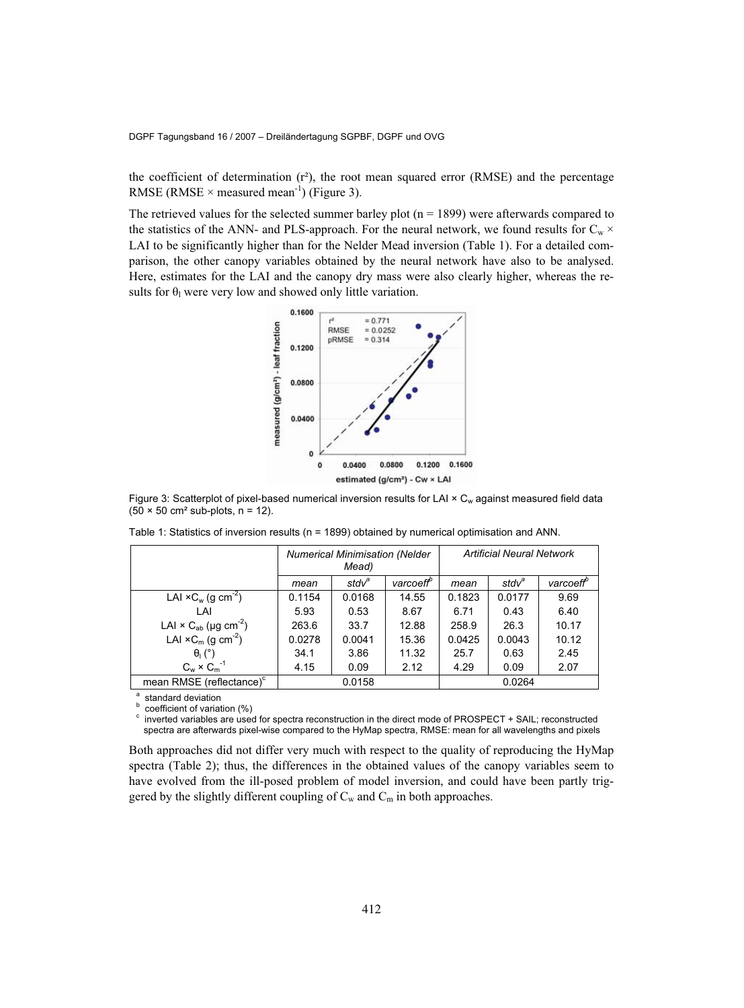the coefficient of determination  $(r^2)$ , the root mean squared error (RMSE) and the percentage RMSE (RMSE  $\times$  measured mean<sup>-1</sup>) (Figure 3).

The retrieved values for the selected summer barley plot  $(n = 1899)$  were afterwards compared to the statistics of the ANN- and PLS-approach. For the neural network, we found results for  $C_w \times$ LAI to be significantly higher than for the Nelder Mead inversion (Table 1). For a detailed comparison, the other canopy variables obtained by the neural network have also to be analysed. Here, estimates for the LAI and the canopy dry mass were also clearly higher, whereas the results for  $\theta_1$  were very low and showed only little variation.



Figure 3: Scatterplot of pixel-based numerical inversion results for LAI × C<sub>w</sub> against measured field data  $(50 \times 50 \text{ cm}^2 \text{ sub-plots}, n = 12)$ .

|                                                     | <b>Numerical Minimisation (Nelder</b><br>Mead) |          |                       | <b>Artificial Neural Network</b> |                   |                       |
|-----------------------------------------------------|------------------------------------------------|----------|-----------------------|----------------------------------|-------------------|-----------------------|
|                                                     | mean                                           | $stdv^a$ | varcoeff <sup>b</sup> | mean                             | stdv <sup>a</sup> | varcoeff <sup>o</sup> |
| LAI $\times$ C <sub>w</sub> (g cm <sup>-2</sup> )   | 0.1154                                         | 0.0168   | 14.55                 | 0.1823                           | 0.0177            | 9.69                  |
| LAI                                                 | 5.93                                           | 0.53     | 8.67                  | 6.71                             | 0.43              | 6.40                  |
| LAI $\times$ C <sub>ab</sub> (µg cm <sup>-2</sup> ) | 263.6                                          | 33.7     | 12.88                 | 258.9                            | 26.3              | 10.17                 |
| LAI $\times$ C <sub>m</sub> (q cm <sup>-2</sup> )   | 0.0278                                         | 0.0041   | 15.36                 | 0.0425                           | 0.0043            | 10.12                 |
| $\theta_1$ (°)                                      | 34.1                                           | 3.86     | 11.32                 | 25.7                             | 0.63              | 2.45                  |
| $C_w \times C_m^{-1}$                               | 4.15                                           | 0.09     | 2.12                  | 4.29                             | 0.09              | 2.07                  |
| mean RMSE (reflectance) <sup>c</sup>                | 0.0158                                         |          |                       | 0.0264                           |                   |                       |

Table 1: Statistics of inversion results (n = 1899) obtained by numerical optimisation and ANN.

a standard deviation

b coefficient of variation (%) c

 inverted variables are used for spectra reconstruction in the direct mode of PROSPECT + SAIL; reconstructed spectra are afterwards pixel-wise compared to the HyMap spectra, RMSE: mean for all wavelengths and pixels

Both approaches did not differ very much with respect to the quality of reproducing the HyMap spectra (Table 2); thus, the differences in the obtained values of the canopy variables seem to have evolved from the ill-posed problem of model inversion, and could have been partly triggered by the slightly different coupling of  $C_w$  and  $C_m$  in both approaches.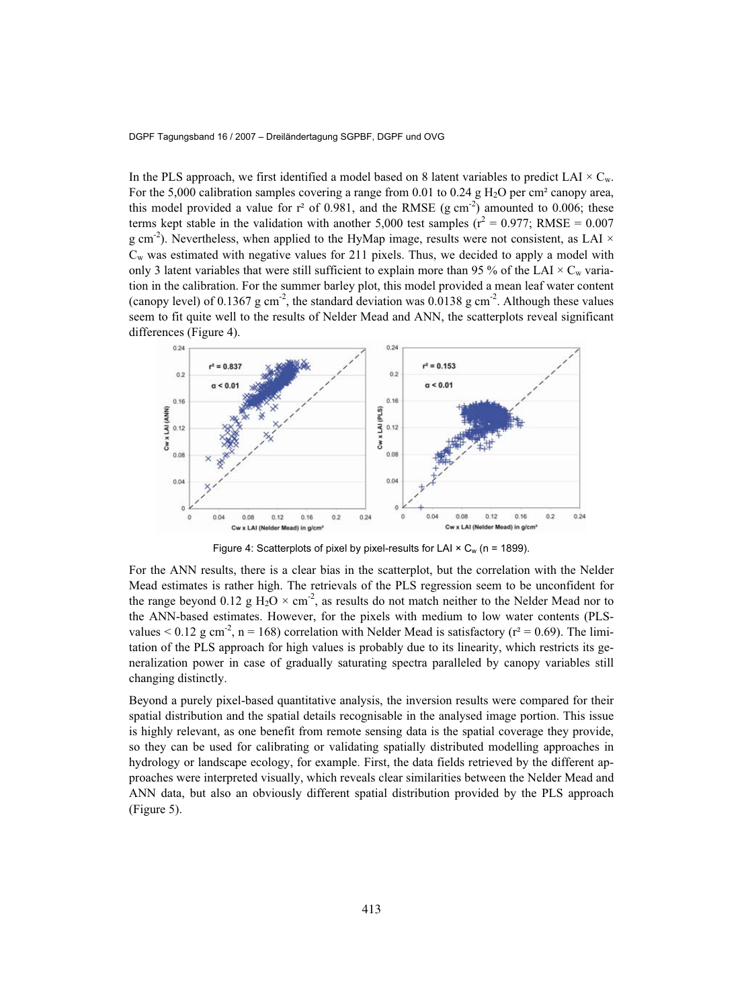In the PLS approach, we first identified a model based on 8 latent variables to predict LAI  $\times$  C<sub>w</sub>. For the 5,000 calibration samples covering a range from 0.01 to 0.24 g  $H_2O$  per cm<sup>2</sup> canopy area, this model provided a value for  $r^2$  of 0.981, and the RMSE (g cm<sup>-2</sup>) amounted to 0.006; these terms kept stable in the validation with another 5,000 test samples ( $r^2 = 0.977$ ; RMSE = 0.007 g cm<sup>-2</sup>). Nevertheless, when applied to the HyMap image, results were not consistent, as LAI  $\times$  $C_w$  was estimated with negative values for 211 pixels. Thus, we decided to apply a model with only 3 latent variables that were still sufficient to explain more than 95 % of the LAI  $\times$  C<sub>w</sub> variation in the calibration. For the summer barley plot, this model provided a mean leaf water content (canopy level) of 0.1367 g cm<sup>-2</sup>, the standard deviation was 0.0138 g cm<sup>-2</sup>. Although these values seem to fit quite well to the results of Nelder Mead and ANN, the scatterplots reveal significant differences (Figure 4).



Figure 4: Scatterplots of pixel by pixel-results for LAI  $\times$  C<sub>w</sub> (n = 1899).

For the ANN results, there is a clear bias in the scatterplot, but the correlation with the Nelder Mead estimates is rather high. The retrievals of the PLS regression seem to be unconfident for the range beyond 0.12 g  $H_2O \times cm^{-2}$ , as results do not match neither to the Nelder Mead nor to the ANN-based estimates. However, for the pixels with medium to low water contents (PLSvalues  $< 0.12$  g cm<sup>-2</sup>, n = 168) correlation with Nelder Mead is satisfactory ( $r^2 = 0.69$ ). The limitation of the PLS approach for high values is probably due to its linearity, which restricts its generalization power in case of gradually saturating spectra paralleled by canopy variables still changing distinctly.

Beyond a purely pixel-based quantitative analysis, the inversion results were compared for their spatial distribution and the spatial details recognisable in the analysed image portion. This issue is highly relevant, as one benefit from remote sensing data is the spatial coverage they provide, so they can be used for calibrating or validating spatially distributed modelling approaches in hydrology or landscape ecology, for example. First, the data fields retrieved by the different approaches were interpreted visually, which reveals clear similarities between the Nelder Mead and ANN data, but also an obviously different spatial distribution provided by the PLS approach (Figure 5).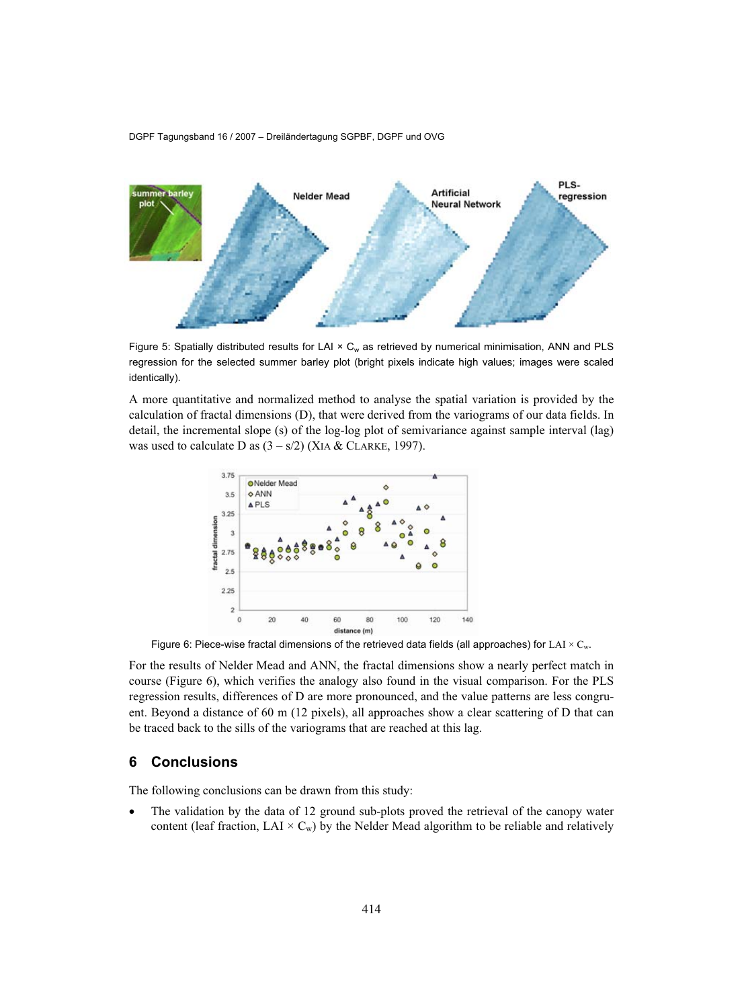

Figure 5: Spatially distributed results for LAI  $\times$  C<sub>w</sub> as retrieved by numerical minimisation, ANN and PLS regression for the selected summer barley plot (bright pixels indicate high values; images were scaled identically).

A more quantitative and normalized method to analyse the spatial variation is provided by the calculation of fractal dimensions (D), that were derived from the variograms of our data fields. In detail, the incremental slope (s) of the log-log plot of semivariance against sample interval (lag) was used to calculate D as  $(3 - s/2)$  (XIA & CLARKE, 1997).



Figure 6: Piece-wise fractal dimensions of the retrieved data fields (all approaches) for LAI  $\times$  C<sub>w</sub>.

For the results of Nelder Mead and ANN, the fractal dimensions show a nearly perfect match in course (Figure 6), which verifies the analogy also found in the visual comparison. For the PLS regression results, differences of D are more pronounced, and the value patterns are less congruent. Beyond a distance of 60 m (12 pixels), all approaches show a clear scattering of D that can be traced back to the sills of the variograms that are reached at this lag.

#### **6 Conclusions**

The following conclusions can be drawn from this study:

• The validation by the data of 12 ground sub-plots proved the retrieval of the canopy water content (leaf fraction, LAI  $\times$  C<sub>w</sub>) by the Nelder Mead algorithm to be reliable and relatively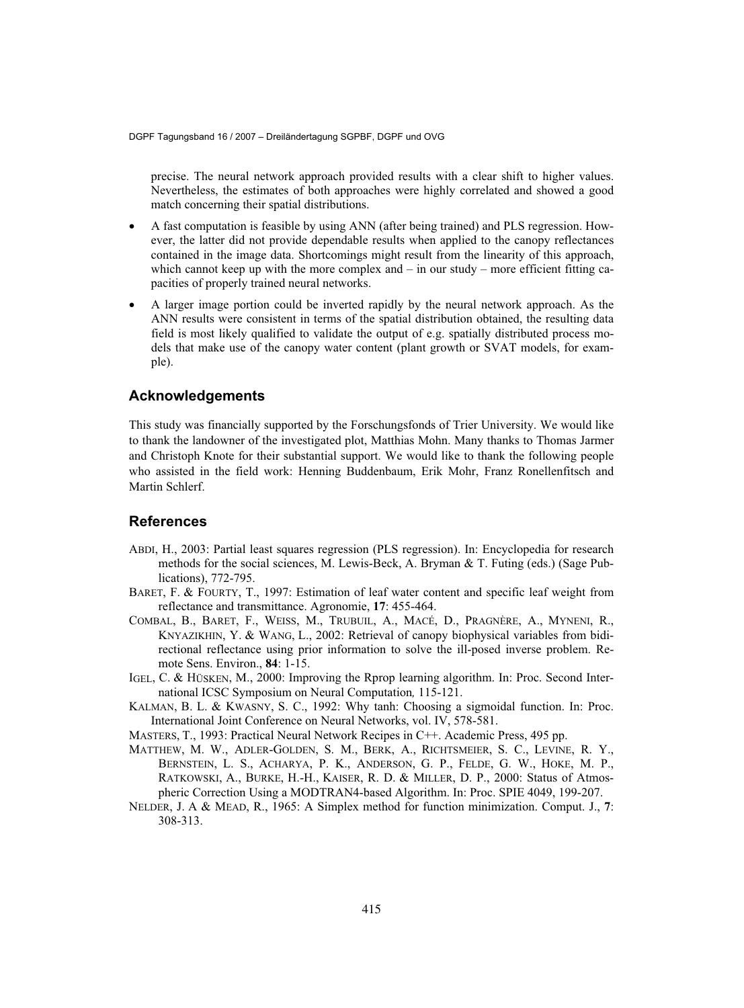precise. The neural network approach provided results with a clear shift to higher values. Nevertheless, the estimates of both approaches were highly correlated and showed a good match concerning their spatial distributions.

- A fast computation is feasible by using ANN (after being trained) and PLS regression. However, the latter did not provide dependable results when applied to the canopy reflectances contained in the image data. Shortcomings might result from the linearity of this approach, which cannot keep up with the more complex and  $-$  in our study  $-$  more efficient fitting capacities of properly trained neural networks.
- A larger image portion could be inverted rapidly by the neural network approach. As the ANN results were consistent in terms of the spatial distribution obtained, the resulting data field is most likely qualified to validate the output of e.g. spatially distributed process models that make use of the canopy water content (plant growth or SVAT models, for example).

## **Acknowledgements**

This study was financially supported by the Forschungsfonds of Trier University. We would like to thank the landowner of the investigated plot, Matthias Mohn. Many thanks to Thomas Jarmer and Christoph Knote for their substantial support. We would like to thank the following people who assisted in the field work: Henning Buddenbaum, Erik Mohr, Franz Ronellenfitsch and Martin Schlerf.

#### **References**

- ABDI, H., 2003: Partial least squares regression (PLS regression). In: Encyclopedia for research methods for the social sciences, M. Lewis-Beck, A. Bryman & T. Futing (eds.) (Sage Publications), 772-795.
- BARET, F. & FOURTY, T., 1997: Estimation of leaf water content and specific leaf weight from reflectance and transmittance. Agronomie, **17**: 455-464.
- COMBAL, B., BARET, F., WEISS, M., TRUBUIL, A., MACÉ, D., PRAGNÈRE, A., MYNENI, R., KNYAZIKHIN, Y. & WANG, L., 2002: Retrieval of canopy biophysical variables from bidirectional reflectance using prior information to solve the ill-posed inverse problem. Remote Sens. Environ., **84**: 1-15.
- IGEL, C. & HÜSKEN, M., 2000: Improving the Rprop learning algorithm. In: Proc. Second International ICSC Symposium on Neural Computation*,* 115-121.
- KALMAN, B. L. & KWASNY, S. C., 1992: Why tanh: Choosing a sigmoidal function. In: Proc. International Joint Conference on Neural Networks, vol. IV, 578-581.
- MASTERS, T., 1993: Practical Neural Network Recipes in C++. Academic Press, 495 pp.
- MATTHEW, M. W., ADLER-GOLDEN, S. M., BERK, A., RICHTSMEIER, S. C., LEVINE, R. Y., BERNSTEIN, L. S., ACHARYA, P. K., ANDERSON, G. P., FELDE, G. W., HOKE, M. P., RATKOWSKI, A., BURKE, H.-H., KAISER, R. D. & MILLER, D. P., 2000: Status of Atmospheric Correction Using a MODTRAN4-based Algorithm. In: Proc. SPIE 4049, 199-207.
- NELDER, J. A & MEAD, R., 1965: A Simplex method for function minimization. Comput. J., **7**: 308-313.